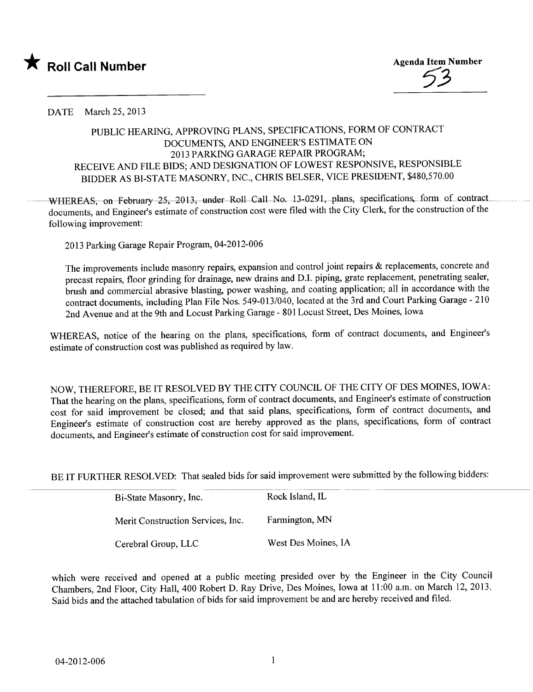

DATE March 25, 2013

## PUBLIC HEARIG, APPROVING PLANS, SPECIFICATIONS, FORM OF CONTRACT DOCUMENTS, AND ENGINEER'S ESTIMATE ON 2013 PARKING GARAGE REPAIR PROGRAM; RECEIVE AND FILE BIDS; AND DESIGNATION OF LOWEST RESPONSIVE, RESPONSIBLE BIDDER AS BI-STATE MASONRY, INC., CHRS BELSER, VICE PRESIDENT, \$480,570.00

WHEREAS, on February 25, 2013, under Roll Call No. 13-0291, plans, specifications, form of contract documents, and Engineer's estimate of construction cost were filed with the City Clerk, for the construction of the following improvement:

2013 Parking Garage Repair Program, 04-2012-006

The improvements include masonry repairs, expansion and control joint repairs & replacements, concrete and precast repairs, floor grinding for drainage, new drains and DJ. piping, grate replacement, penetrating sealer, brush and commercial abrasive blasting, power washing, and coating application; all in accordance with the contract documents, including Plan File Nos. 549-013/040, located at the 3rd and Court Parking Garage - 210 2nd Avenue and at the 9th and Locust Parking Garage - 801 Locust Street, Des Moines, Iowa

WHREAS, notice of the hearing on the plans, specifications, form of contract documents, and Engineer's estimate of construction cost was published as required by law.

NOW, THEREFORE, BE IT RESOLVED BY THE CITY COUNCIL OF THE CITY OF DES MOINES, lOW A: That the hearing on the plans, specifications, form of contract documents, and Engineer's estimate of construction cost for said improvement be closed; and that said plans, specifications, form of contract documents, and Engineer's estimate of construction cost are hereby approved as the plans, specifications, form of contract documents, and Engineer's estimate of construction cost for said improvement.

BE IT FURTHER RESOLVED: That sealed bids for said improvement were submitted by the following bidders:

| Bi-State Masonry, Inc.            | Rock Island, IL     |  |  |
|-----------------------------------|---------------------|--|--|
| Merit Construction Services, Inc. | Farmington, MN      |  |  |
| Cerebral Group, LLC               | West Des Moines, IA |  |  |

which were received and opened at a public meeting presided over by the Engineer in the City Council Chambers, 2nd Floor, City Hall, 400 Robert D. Ray Drive, Des Moines, Iowa at 11:00 a.m. on March 12,2013. Said bids and the attached tabulation of bids for said improvement be and are hereby received and fied.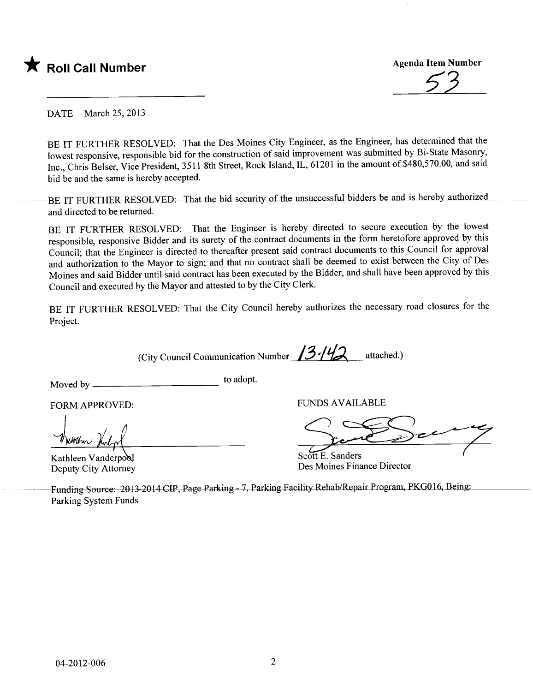

~3

DATE March 25, 2013

BE IT FURTHER RESOLVED: That the Des Moines City Engineer, as the Engineer, has determined that the lowest responsive, responsible bid for the construction of said improvement was submitted by Bi-State Masonry, Inc., Chris Belser, Vice President, 3511 8th Street, Rock Island, IL, 61201 in the amount of \$480,570.00, and said bid be and the same is hereby accepted.

BE IT FURTHER-RESOLVED: That the bid security of the unsuccessful bidders be and is hereby authorized and directed to be returned.

BE IT FURTHER RESOLVED: That the Engineer is hereby directed to secure execution by the lowest responsible, responsive Bidder and its surety of the contract documents in the form heretofore approved by this Council; that the Engineer is directed to thereafter present said contract documents to this Council for approval and authorization to the Mayor to sign; and that no contract shall be deemed to exist between the City of Des Moines and said Bidder until said contract has been executed by the Bidder, and shall have been approved by this Council and executed by the Mayor and attested to by the City Clerk.

BE IT FURTHER RESOLVED: That the City Council hereby authorizes the necessary road closures for the Project.

(City Council Communication Number  $13.142$  attached.)

Moved by to adopt.

FORM APPROVED:

FORM APPROVED:<br>with Muly

Deputy City Attorney

FUNDS AVAILABLE

Scott E. Sanders<br>Des Moines Finance Director

Funding Source: 2013-2014 CIP, Page Parking - 7, Parking Facility Rehab/Repair Program, PKG016, Being: Parking System Funds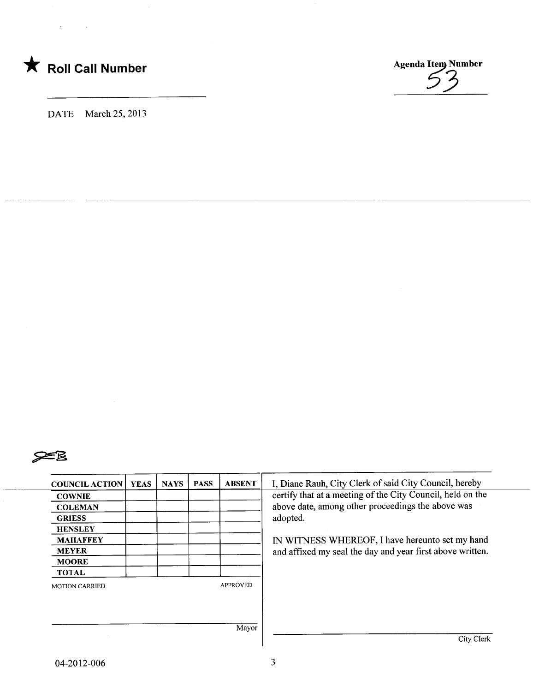

 $\chi^2$  ,  $\chi^2$  ,  $\chi^2$ 

DATE March 25, 2013

 $\bar{z}$ 





| <b>COUNCIL ACTION</b> | <b>YEAS</b> | <b>NAYS</b> | <b>PASS</b> | <b>ABSENT</b>   | I, Diane Rauh, City Clerk of said City Council, hereby     |
|-----------------------|-------------|-------------|-------------|-----------------|------------------------------------------------------------|
| <b>COWNIE</b>         |             |             |             |                 | certify that at a meeting of the City Council, held on the |
| <b>COLEMAN</b>        |             |             |             |                 | above date, among other proceedings the above was          |
| <b>GRIESS</b>         |             |             |             |                 | adopted.                                                   |
| <b>HENSLEY</b>        |             |             |             |                 |                                                            |
| <b>MAHAFFEY</b>       |             |             |             |                 | IN WITNESS WHEREOF, I have hereunto set my hand            |
| <b>MEYER</b>          |             |             |             |                 | and affixed my seal the day and year first above written.  |
| <b>MOORE</b>          |             |             |             |                 |                                                            |
| <b>TOTAL</b>          |             |             |             |                 |                                                            |
| <b>MOTION CARRIED</b> |             |             |             | <b>APPROVED</b> |                                                            |
|                       |             |             |             |                 |                                                            |
|                       |             |             |             |                 |                                                            |
|                       |             |             |             | Mayor           |                                                            |
|                       |             |             |             |                 | City Clerk                                                 |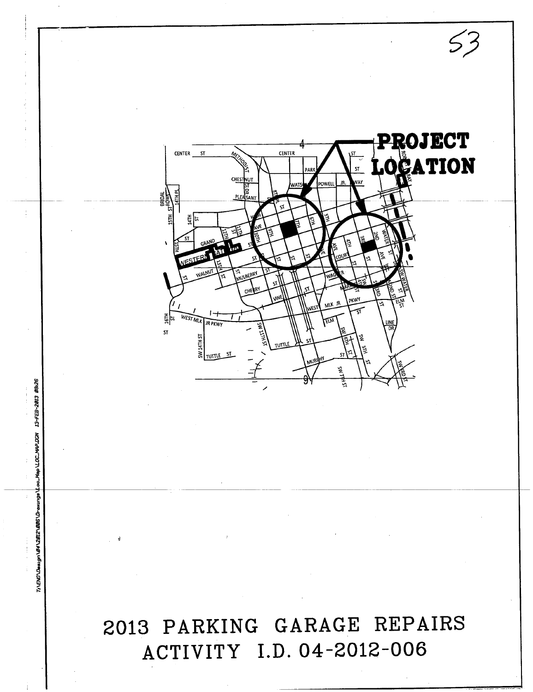